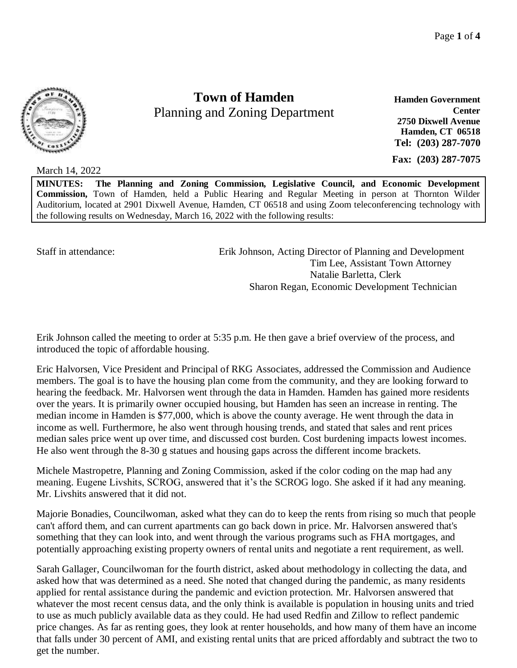

**Town of Hamden** Planning and Zoning Department

**Hamden Government Center 2750 Dixwell Avenue Hamden, CT 06518 Tel: (203) 287-7070**

**Fax: (203) 287-7075**

March 14, 2022

**MINUTES: The Planning and Zoning Commission, Legislative Council, and Economic Development Commission,** Town of Hamden, held a Public Hearing and Regular Meeting in person at Thornton Wilder Auditorium, located at 2901 Dixwell Avenue, Hamden, CT 06518 and using Zoom teleconferencing technology with the following results on Wednesday, March 16, 2022 with the following results:

Staff in attendance: Erik Johnson, Acting Director of Planning and Development Tim Lee, Assistant Town Attorney Natalie Barletta, Clerk Sharon Regan, Economic Development Technician

Erik Johnson called the meeting to order at 5:35 p.m. He then gave a brief overview of the process, and introduced the topic of affordable housing.

Eric Halvorsen, Vice President and Principal of RKG Associates, addressed the Commission and Audience members. The goal is to have the housing plan come from the community, and they are looking forward to hearing the feedback. Mr. Halvorsen went through the data in Hamden. Hamden has gained more residents over the years. It is primarily owner occupied housing, but Hamden has seen an increase in renting. The median income in Hamden is \$77,000, which is above the county average. He went through the data in income as well. Furthermore, he also went through housing trends, and stated that sales and rent prices median sales price went up over time, and discussed cost burden. Cost burdening impacts lowest incomes. He also went through the 8-30 g statues and housing gaps across the different income brackets.

Michele Mastropetre, Planning and Zoning Commission, asked if the color coding on the map had any meaning. Eugene Livshits, SCROG, answered that it's the SCROG logo. She asked if it had any meaning. Mr. Livshits answered that it did not.

Majorie Bonadies, Councilwoman, asked what they can do to keep the rents from rising so much that people can't afford them, and can current apartments can go back down in price. Mr. Halvorsen answered that's something that they can look into, and went through the various programs such as FHA mortgages, and potentially approaching existing property owners of rental units and negotiate a rent requirement, as well.

Sarah Gallager, Councilwoman for the fourth district, asked about methodology in collecting the data, and asked how that was determined as a need. She noted that changed during the pandemic, as many residents applied for rental assistance during the pandemic and eviction protection. Mr. Halvorsen answered that whatever the most recent census data, and the only think is available is population in housing units and tried to use as much publicly available data as they could. He had used Redfin and Zillow to reflect pandemic price changes. As far as renting goes, they look at renter households, and how many of them have an income that falls under 30 percent of AMI, and existing rental units that are priced affordably and subtract the two to get the number.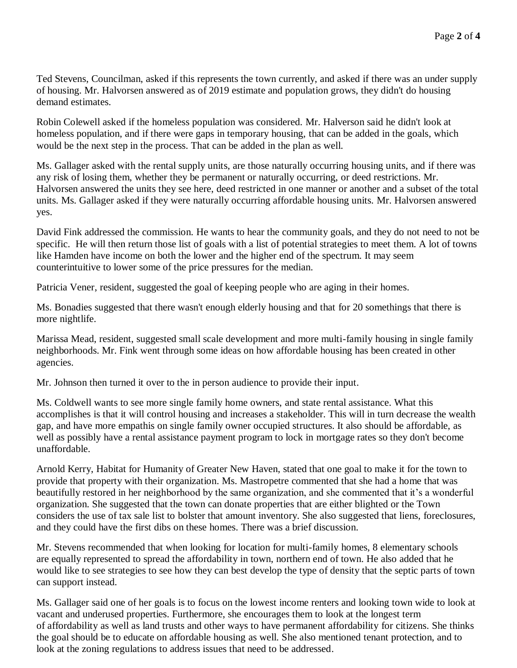Ted Stevens, Councilman, asked if this represents the town currently, and asked if there was an under supply of housing. Mr. Halvorsen answered as of 2019 estimate and population grows, they didn't do housing demand estimates.

Robin Colewell asked if the homeless population was considered. Mr. Halverson said he didn't look at homeless population, and if there were gaps in temporary housing, that can be added in the goals, which would be the next step in the process. That can be added in the plan as well.

Ms. Gallager asked with the rental supply units, are those naturally occurring housing units, and if there was any risk of losing them, whether they be permanent or naturally occurring, or deed restrictions. Mr. Halvorsen answered the units they see here, deed restricted in one manner or another and a subset of the total units. Ms. Gallager asked if they were naturally occurring affordable housing units. Mr. Halvorsen answered yes.

David Fink addressed the commission. He wants to hear the community goals, and they do not need to not be specific. He will then return those list of goals with a list of potential strategies to meet them. A lot of towns like Hamden have income on both the lower and the higher end of the spectrum. It may seem counterintuitive to lower some of the price pressures for the median.

Patricia Vener, resident, suggested the goal of keeping people who are aging in their homes.

Ms. Bonadies suggested that there wasn't enough elderly housing and that for 20 somethings that there is more nightlife.

Marissa Mead, resident, suggested small scale development and more multi-family housing in single family neighborhoods. Mr. Fink went through some ideas on how affordable housing has been created in other agencies.

Mr. Johnson then turned it over to the in person audience to provide their input.

Ms. Coldwell wants to see more single family home owners, and state rental assistance. What this accomplishes is that it will control housing and increases a stakeholder. This will in turn decrease the wealth gap, and have more empathis on single family owner occupied structures. It also should be affordable, as well as possibly have a rental assistance payment program to lock in mortgage rates so they don't become unaffordable.

Arnold Kerry, Habitat for Humanity of Greater New Haven, stated that one goal to make it for the town to provide that property with their organization. Ms. Mastropetre commented that she had a home that was beautifully restored in her neighborhood by the same organization, and she commented that it's a wonderful organization. She suggested that the town can donate properties that are either blighted or the Town considers the use of tax sale list to bolster that amount inventory. She also suggested that liens, foreclosures, and they could have the first dibs on these homes. There was a brief discussion.

Mr. Stevens recommended that when looking for location for multi-family homes, 8 elementary schools are equally represented to spread the affordability in town, northern end of town. He also added that he would like to see strategies to see how they can best develop the type of density that the septic parts of town can support instead.

Ms. Gallager said one of her goals is to focus on the lowest income renters and looking town wide to look at vacant and underused properties. Furthermore, she encourages them to look at the longest term of affordability as well as land trusts and other ways to have permanent affordability for citizens. She thinks the goal should be to educate on affordable housing as well. She also mentioned tenant protection, and to look at the zoning regulations to address issues that need to be addressed.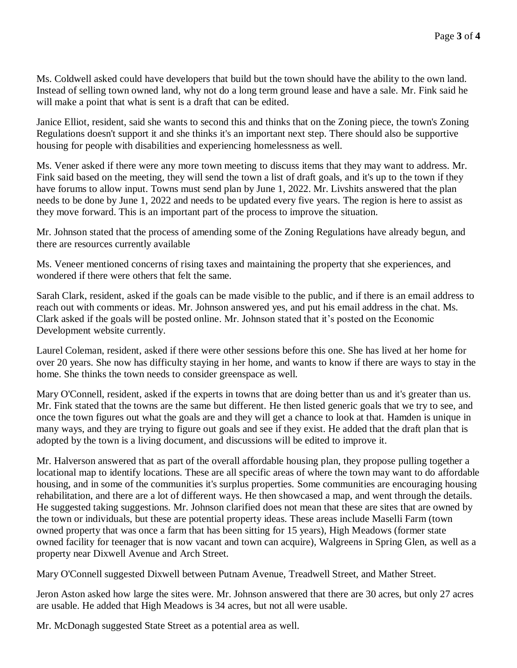Ms. Coldwell asked could have developers that build but the town should have the ability to the own land. Instead of selling town owned land, why not do a long term ground lease and have a sale. Mr. Fink said he will make a point that what is sent is a draft that can be edited.

Janice Elliot, resident, said she wants to second this and thinks that on the Zoning piece, the town's Zoning Regulations doesn't support it and she thinks it's an important next step. There should also be supportive housing for people with disabilities and experiencing homelessness as well.

Ms. Vener asked if there were any more town meeting to discuss items that they may want to address. Mr. Fink said based on the meeting, they will send the town a list of draft goals, and it's up to the town if they have forums to allow input. Towns must send plan by June 1, 2022. Mr. Livshits answered that the plan needs to be done by June 1, 2022 and needs to be updated every five years. The region is here to assist as they move forward. This is an important part of the process to improve the situation.

Mr. Johnson stated that the process of amending some of the Zoning Regulations have already begun, and there are resources currently available

Ms. Veneer mentioned concerns of rising taxes and maintaining the property that she experiences, and wondered if there were others that felt the same.

Sarah Clark, resident, asked if the goals can be made visible to the public, and if there is an email address to reach out with comments or ideas. Mr. Johnson answered yes, and put his email address in the chat. Ms. Clark asked if the goals will be posted online. Mr. Johnson stated that it's posted on the Economic Development website currently.

Laurel Coleman, resident, asked if there were other sessions before this one. She has lived at her home for over 20 years. She now has difficulty staying in her home, and wants to know if there are ways to stay in the home. She thinks the town needs to consider greenspace as well.

Mary O'Connell, resident, asked if the experts in towns that are doing better than us and it's greater than us. Mr. Fink stated that the towns are the same but different. He then listed generic goals that we try to see, and once the town figures out what the goals are and they will get a chance to look at that. Hamden is unique in many ways, and they are trying to figure out goals and see if they exist. He added that the draft plan that is adopted by the town is a living document, and discussions will be edited to improve it.

Mr. Halverson answered that as part of the overall affordable housing plan, they propose pulling together a locational map to identify locations. These are all specific areas of where the town may want to do affordable housing, and in some of the communities it's surplus properties. Some communities are encouraging housing rehabilitation, and there are a lot of different ways. He then showcased a map, and went through the details. He suggested taking suggestions. Mr. Johnson clarified does not mean that these are sites that are owned by the town or individuals, but these are potential property ideas. These areas include Maselli Farm (town owned property that was once a farm that has been sitting for 15 years), High Meadows (former state owned facility for teenager that is now vacant and town can acquire), Walgreens in Spring Glen, as well as a property near Dixwell Avenue and Arch Street.

Mary O'Connell suggested Dixwell between Putnam Avenue, Treadwell Street, and Mather Street.

Jeron Aston asked how large the sites were. Mr. Johnson answered that there are 30 acres, but only 27 acres are usable. He added that High Meadows is 34 acres, but not all were usable.

Mr. McDonagh suggested State Street as a potential area as well.